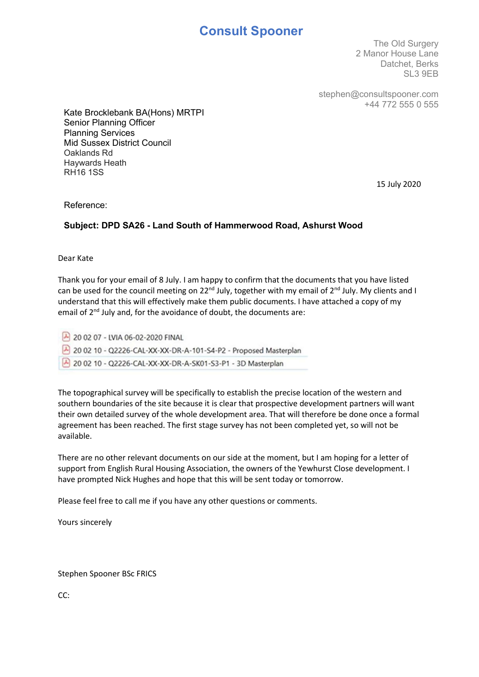# Consult Spooner

The Old Surgery 2 Manor House Lane Datchet, Berks SL3 9EB

stephen@consultspooner.com +44 772 555 0 555

Kate Brocklebank BA(Hons) MRTPI Senior Planning Officer Planning Services Mid Sussex District Council Oaklands Rd Haywards Heath RH16 1SS

15 July 2020

Reference:

## Subject: DPD SA26 - Land South of Hammerwood Road, Ashurst Wood

Dear Kate

Thank you for your email of 8 July. I am happy to confirm that the documents that you have listed can be used for the council meeting on 22<sup>nd</sup> July, together with my email of 2<sup>nd</sup> July. My clients and I understand that this will effectively make them public documents. I have attached a copy of my email of 2<sup>nd</sup> July and, for the avoidance of doubt, the documents are:

20 02 07 - LVIA 06-02-2020 FINAL 20 02 10 - Q2226-CAL-XX-XX-DR-A-101-S4-P2 - Proposed Masterplan 20 02 10 - Q2226-CAL-XX-XX-DR-A-SK01-S3-P1 - 3D Masterplan

The topographical survey will be specifically to establish the precise location of the western and southern boundaries of the site because it is clear that prospective development partners will want their own detailed survey of the whole development area. That will therefore be done once a formal agreement has been reached. The first stage survey has not been completed yet, so will not be available.

There are no other relevant documents on our side at the moment, but I am hoping for a letter of support from English Rural Housing Association, the owners of the Yewhurst Close development. I have prompted Nick Hughes and hope that this will be sent today or tomorrow.

Please feel free to call me if you have any other questions or comments.

Yours sincerely

Stephen Spooner BSc FRICS

CC: